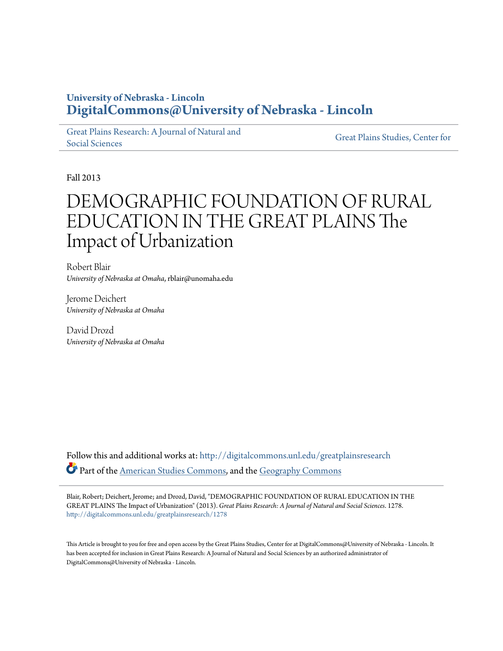# **University of Nebraska - Lincoln [DigitalCommons@University of Nebraska - Lincoln](http://digitalcommons.unl.edu?utm_source=digitalcommons.unl.edu%2Fgreatplainsresearch%2F1278&utm_medium=PDF&utm_campaign=PDFCoverPages)**

[Great Plains Research: A Journal of Natural and](http://digitalcommons.unl.edu/greatplainsresearch?utm_source=digitalcommons.unl.edu%2Fgreatplainsresearch%2F1278&utm_medium=PDF&utm_campaign=PDFCoverPages) [Social Sciences](http://digitalcommons.unl.edu/greatplainsresearch?utm_source=digitalcommons.unl.edu%2Fgreatplainsresearch%2F1278&utm_medium=PDF&utm_campaign=PDFCoverPages)

[Great Plains Studies, Center for](http://digitalcommons.unl.edu/greatplainsstudies?utm_source=digitalcommons.unl.edu%2Fgreatplainsresearch%2F1278&utm_medium=PDF&utm_campaign=PDFCoverPages)

Fall 2013

# DEMOGRAPHIC FOUNDATION OF RURAL EDUCATION IN THE GREAT PLAINS The Impact of Urbanization

Robert Blair *University of Nebraska at Omaha*, rblair@unomaha.edu

Jerome Deichert *University of Nebraska at Omaha*

David Drozd *University of Nebraska at Omaha*

Follow this and additional works at: [http://digitalcommons.unl.edu/greatplainsresearch](http://digitalcommons.unl.edu/greatplainsresearch?utm_source=digitalcommons.unl.edu%2Fgreatplainsresearch%2F1278&utm_medium=PDF&utm_campaign=PDFCoverPages) Part of the [American Studies Commons](http://network.bepress.com/hgg/discipline/439?utm_source=digitalcommons.unl.edu%2Fgreatplainsresearch%2F1278&utm_medium=PDF&utm_campaign=PDFCoverPages), and the [Geography Commons](http://network.bepress.com/hgg/discipline/354?utm_source=digitalcommons.unl.edu%2Fgreatplainsresearch%2F1278&utm_medium=PDF&utm_campaign=PDFCoverPages)

Blair, Robert; Deichert, Jerome; and Drozd, David, "DEMOGRAPHIC FOUNDATION OF RURAL EDUCATION IN THE GREAT PLAINS The Impact of Urbanization" (2013). *Great Plains Research: A Journal of Natural and Social Sciences*. 1278. [http://digitalcommons.unl.edu/greatplainsresearch/1278](http://digitalcommons.unl.edu/greatplainsresearch/1278?utm_source=digitalcommons.unl.edu%2Fgreatplainsresearch%2F1278&utm_medium=PDF&utm_campaign=PDFCoverPages)

This Article is brought to you for free and open access by the Great Plains Studies, Center for at DigitalCommons@University of Nebraska - Lincoln. It has been accepted for inclusion in Great Plains Research: A Journal of Natural and Social Sciences by an authorized administrator of DigitalCommons@University of Nebraska - Lincoln.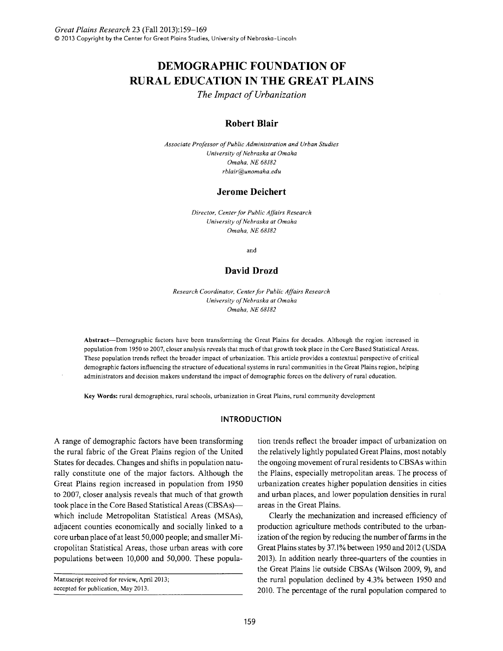# **DEMOGRAPHIC FOUNDATION OF RURAL EDUCATION IN THE GREAT PLAINS**

*The Impact of Urbanization* 

# **Robert Blair**

*Associate Professor of Public Administration and Urban Studies University of Nebraska at Omaha Omaha, NE 68182 rblair@unomaha.edu* 

### **Jerome Deichert**

*Director, Center for Public Affairs Research University of Nebraska at Omaha Omaha, NE 68182* 

and

# **David Drozd**

*Research Coordinator, Center for Public Affairs Research University of Nebraska at Omaha Omaha, NE 68182* 

Abstract-Demographic factors have been transforming the Great Plains for decades. Although the region increased in population from 1950 to 2007, closer analysis reveals that much of that growth took place in the Core Based Statistical Areas. These population trends reflect the broader impact of urbanization. This article provides a contextual perspective of critical demographic factors influencing the structure of educational systems in rural communities in the Great Plains region, helping administrators and decision makers understand the impact of demographic forces on the delivery of rural education.

Key Words: rural demographics, rural schools, urbanization in Great Plains, rural community development

### **INTRODUCTION**

A range of demographic factors have been transforming the rural fabric of the Great Plains region of the United States for decades. Changes and shifts in population naturally constitute one of the major factors. Although the Great Plains region increased in population from 1950 to 2007, closer analysis reveals that much of that growth took place in the Core Based Statistical Areas (CBSAs) which include Metropolitan Statistical Areas (MSAs), adjacent counties economically and socially linked to a core urban place of at least 50,000 people; and smaller Micropolitan Statistical Areas, those urban areas with core populations between 10,000 and 50,000. These popula-

Manuscript received for review, April 2013; accepted for publication, May 2013.

tion trends reflect the broader impact of urbanization on the relatively lightly populated Great Plains, most notably the ongoing movement of rural residents to CBSAs within the Plains, especially metropolitan areas. The process of urbanization creates higher population densities in cities and urban places, and lower population densities in rural areas in the Great Plains.

Clearly the mechanization and increased efficiency of production agriculture methods contributed to the urbanization of the region by reducing the number of farms in the Great Plains states by 37.l% between 1950 and 2012 (USDA 2013). In addition nearly three-quarters of the counties in the Great Plains lie outside CBSAs (Wilson 2009, 9), and the rural population declined by 4.3% between 1950 and 2010. The percentage of the rural population compared to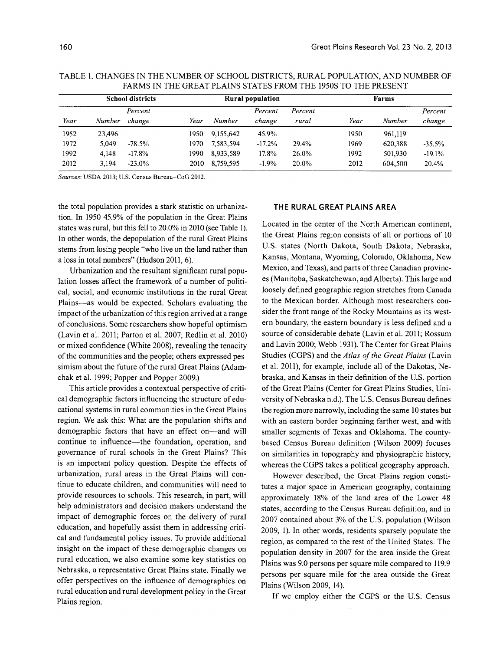|                         | 1 ANIVIO 11 1 1112 VINCAT 1 12A11N2 0 1 A1 1 20 1 1W/10 1 1112 1 2200 1 V 1 1112 1 NEARD 1 |           |       |                  |          |         |      |         |          |  |  |
|-------------------------|--------------------------------------------------------------------------------------------|-----------|-------|------------------|----------|---------|------|---------|----------|--|--|
| <b>School districts</b> |                                                                                            |           |       | Rural population |          |         |      |         |          |  |  |
|                         |                                                                                            | Percent   |       |                  | Percent  | Percent |      |         | Percent  |  |  |
| Year                    | Number                                                                                     | change    | Year  | Number           | change   | rural   | Year | Number  | change   |  |  |
| 1952                    | 23,496                                                                                     |           | 1950  | 9.155.642        | 45.9%    |         | 1950 | 961.119 |          |  |  |
| 1972                    | 5.049                                                                                      | $-78.5%$  | 1970  | 7.583.594        | $-17.2%$ | 29.4%   | 1969 | 620.388 | $-35.5%$ |  |  |
| 1992                    | 4.148                                                                                      | $-17.8%$  | 1990. | 8,933,589        | $17.8\%$ | 26.0%   | 1992 | 501,930 | $-19.1%$ |  |  |
| 2012                    | 3.194                                                                                      | $-23.0\%$ | 2010  | 8,759,595        | $-1.9%$  | 20.0%   | 2012 | 604,500 | 20.4%    |  |  |

TABLE 1. CHANGES IN THE NUMBER OF SCHOOL DISTRICTS, RURAL POPULATION, AND NUMBER OF FARMS IN THE GREAT PLAINS STATES FROM THE 1950S TO THE PRESENT

*Sources:* USDA 2013; U.S. Census Bureau-CoG 2012.

the total population provides a stark statistic on urbanization. In 1950 45.9% of the population in the Great Plains states was rural, but this fell to 20.0% in 2010 (see Table 1). In other words, the depopulation of the rural Great Plains stems from losing people "who live on the land rather than a loss in total numbers" (Hudson 2011, 6).

Urbanization and the resultant significant rural population losses affect the framework of a number of political, social, and economic institutions in the rural Great Plains-as would be expected. Scholars evaluating the impact of the urbanization of this region arrived at a range of conclusions. Some researchers show hopeful optimism (Lavin et al. 2011; Parton et al. 2007; Redlin et al. 2010) or mixed confidence (White 2008), revealing the tenacity of the communities and the people; others expressed pessimism about the future of the rural Great Plains (Adamchak et al. 1999; Popper and Popper 2009.)

This article provides a contextual perspective of critical demographic factors influencing the structure of educational systems in rural communities in the Great Plains region. We ask this: What are the population shifts and demographic factors that have an effect on-and will continue to influence—the foundation, operation, and governance of rural schools in the Great Plains? This is an important policy question. Despite the effects of urbanization, rural areas in the Great Plains will continue to educate children, and communities will need to provide resources to schools. This research, in part, will help administrators and decision makers understand the impact of demographic forces on the delivery of rural education, and hopefully assist them in addressing critical and fundamental policy issues. To provide additional insight on the impact of these demographic changes on rural education, we also examine some key statistics on Nebraska, a representative Great Plains state. Finally we offer perspectives on the influence of demographics on rural education and rural development policy in the Great Plains region.

#### THE RURAL GREAT PLAINS AREA

Located in the center of the North American continent, the Great Plains region consists of all or portions of 10 U.S. states (North Dakota, South Dakota, Nebraska, Kansas, Montana, Wyoming, Colorado, Oklahoma, New Mexico, and Texas), and parts of three Canadian provinces (Manitoba, Saskatchewan, and Alberta). This large and loosely defined geographic region stretches from Canada to the Mexican border. Although most researchers consider the front range of the Rocky Mountains as its western boundary, the eastern boundary is less defined and a source of considerable debate (Lavin et al. 2011; Rossum and Lavin 2000; Webb 1931). The Center for Great Plains Studies (CGPS) and the *Atlas of the Great Plains* (Lavin et al. 2011), for example, include all of the Dakotas, Nebraska, and Kansas in their definition of the U.S. portion of the Great Plains (Center for Great Plains Studies, University of Nebraska n.d.). The U.S. Census Bureau defines the region more narrowly, including the same 10 states but with an eastern border beginning farther west, and with smaller segments of Texas and Oklahoma. The countybased Census Bureau definition (Wilson 2009) focuses on similarities in topography and physiographic history, whereas the CGPS takes a political geography approach.

However described, the Great Plains region constitutes a major space in American geography, containing approximately 18% of the land area of the Lower 48 states, according to the Census Bureau definition, and in 2007 contained about 3% of the U.S. population (Wilson 2009, 1). In other words, residents sparsely populate the region, as compared to the rest of the United States. The population density in 2007 for the area inside the Great Plains was 9.0 persons per square mile compared to 119.9 persons per square mile for the area outside the Great Plains (Wilson 2009, 14).

If we employ either the CGPS or the U.S. Census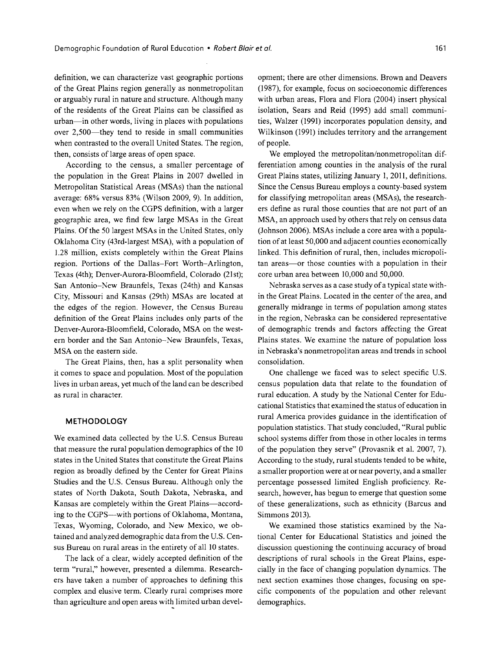definition, we can characterize vast geographic portions of the Great Plains region generally as nonmetropolitan or arguably rural in nature and structure. Although many of the residents of the Great Plains can be classified as urban-in other words, living in places with populations over 2,500-they tend to reside in small communities when contrasted to the overall United States. The region, then, consists of large areas of open space.

According to the census, a smaller percentage of the population in the Great Plains in 2007 dwelled in Metropolitan Statistical Areas (MSAs) than the national average: 68% versus 83% (Wilson 2009, 9). In addition, even when we rely on the CGPS definition, with a larger geographic area, we find few large MSAs in the Great Plains. Of the 50 largest MSAs in the United States, only Oklahoma City (43rd-largest MSA), with a population of 1.28 million, exists completely within the Great Plains region. Portions of the Dallas-Fort Worth-Arlington, Texas (4th); Denver-Aurora-Bloomfield, Colorado (21st); San Antonio-New Braunfels, Texas (24th) and Kansas City, Missouri and Kansas (29th) MSAs are located at the edges of the region. However, the Census Bureau definition of the Great Plains includes only parts of the Denver-Aurora-Bloomfield, Colorado, MSA on the western border and the San Antonio-New Braunfels, Texas, MSA on the eastern side.

The Great Plains, then, has a split personality when it comes to space and population. Most of the population lives in urban areas, yet much of the land can be described as rural in character.

#### **METHODOLOGY**

We examined data collected by the U.S. Census Bureau that measure the rural population demographics of the 10 states in the United States that constitute the Great Plains region as broadly defined by the Center for Great Plains Studies and the U.S. Census Bureau. Although only the states of North Dakota, South Dakota, Nebraska, and Kansas are completely within the Great Plains-according to the CGPS--with portions of Oklahoma, Montana, Texas, Wyoming, Colorado, and New Mexico, we obtained and analyzed demographic data from the U.S. Census Bureau on rural areas in the entirety of all 10 states.

The lack of a clear, widely accepted definition of the term "rural," however, presented a dilemma. Researchers have taken a number of approaches to defining this complex and elusive term. Clearly rural comprises more than agriculture and open areas with limited urban development; there are other dimensions. Brown and Deavers (1987), for example, focus on socioeconomic differences with urban areas, Flora and Flora (2004) insert physical isolation, Sears and Reid (1995) add small communities, Walzer (1991) incorporates population density, and Wilkinson (1991) includes territory and the arrangement of people.

We employed the metropolitan/nonmetropolitan differentiation among counties in the analysis of the rural Great Plains states, utilizing January 1,2011, definitions. Since the Census Bureau employs a county-based system for classifying metropolitan areas (MSAs), the researchers define as rural those counties that are not part of an MSA, an approach used by others that rely on census data (Johnson 2006). MSAs include a core area with a population of at least 50,000 and adjacent counties economically linked. This definition of rural, then, includes micropolitan areas-or those counties with a population in their core urban area between 10,000 and 50,000.

Nebraska serves as a case study of a typical state within the Great Plains. Located in the center of the area, and generally midrange in terms of population among states in the region, Nebraska can be considered representative of demographic trends and factors affecting the Great Plains states. We examine the nature of population loss in Nebraska's nonmetropolitan areas and trends in school consolidation.

One challenge we faced was to select specific U.S. census population data that relate to the foundation of rural education. A study by the National Center for Educational Statistics that examined the status of education in rural America provides guidance in the identification of population statistics. That study concluded, "Rural public school systems differ from those in other locales in terms of the population they serve" (Provasnik et al. 2007, 7). According to the study, rural students tended to be white, a smaller proportion were at or near poverty, and a smaller percentage possessed limited English proficiency. Research, however, has begun to emerge that question some of these generalizations, such as ethnicity (Barcus and Simmons 2013).

We examined those statistics examined by the National Center for Educational Statistics and joined the discussion questioning the continuing accuracy of broad descriptions of rural schools in the Great Plains, especially in the face of changing population dynamics. The next section examines those changes, focusing on specific components of the population and other relevant demographics.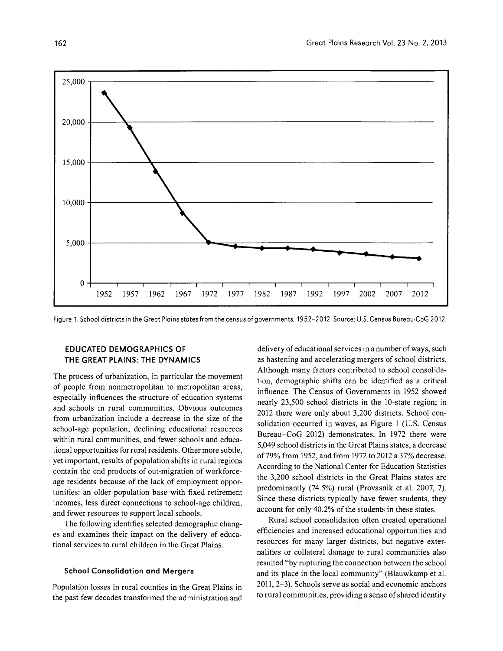

Figure 1. School districts in the Great Plains states from the census of governments, 1952-2012. Source: U.S. Census Bureau-CoG 2012.

# **EDUCATED DEMOGRAPHICS OF THE GREAT PLAINS: THE DYNAMICS**

The process of urbanization, in particular the movement of people from nonmetropolitan to metropolitan areas, especially influences the structure of education systems and schools in rural communities. Obvious outcomes from urbanization include a decrease in the size of the school-age population, declining educational resources within rural communities, and fewer schools and educational opportunities for rural residents. Other more subtle, yet important, results of population shifts in rural regions contain the end products of out-migration of workforceage residents because of the lack of employment opportunities: an older population base with fixed retirement incomes, less direct connections to school-age children, and fewer resources to support local schools.

The following identifies selected demographic changes and examines their impact on the delivery of educational services to rural children in the Great Plains.

#### **School Consolidation and Mergers**

Population losses in rural counties in the Great Plains in the past few decades transformed the administration and delivery of educational services in a number of ways, such as hastening and accelerating mergers of school districts. Although many factors contributed to school consolidation, demographic shifts can be identified as a critical influence. The Census of Governments in 1952 showed nearly 23,500 school districts in the lO-state region; in 2012 there were only about 3,200 districts. School consolidation occurred in waves, as Figure 1 (U.S. Census Bureau-CoG 2012) demonstrates. In 1972 there were 5,049 school districts in the Great Plains states, a decrease of79% from 1952, and from 1972 to 2012 a 37% decrease. According to the National Center for Education Statistics the 3,200 school districts in the Great Plains states are predominantly (74.5%) rural (Provasnik et al. 2007, 7). Since these districts typically have fewer students, they account for only 40.2% of the students in these states.

Rural school consolidation often created operational efficiencies and increased educational opportunities and resources for many larger districts, but negative externalities or collateral damage to rural communities also resulted "by rupturing the connection between the school and its place in the local community" (Blauwkamp et al. 2011, 2-3). Schools serve as social and economic anchors to rural communities, providing a sense of shared identity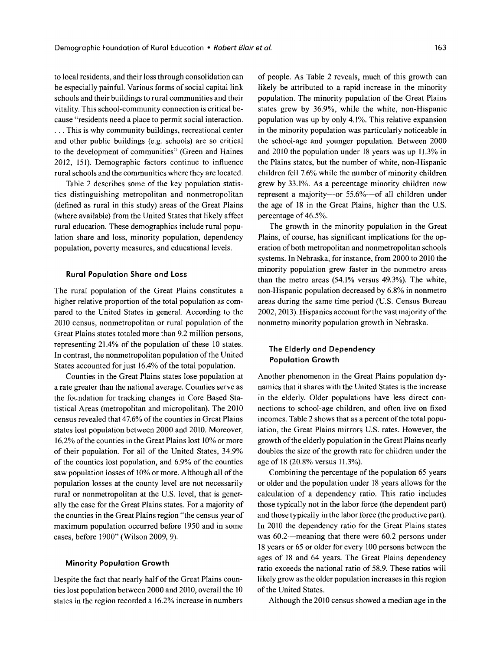to local residents, and their loss through consolidation can be especially painful. Various forms of social capital link schools and their buildings to rural communities and their vitality. This school-community connection is critical because "residents need a place to permit social interaction . . . . This is why community buildings, recreational center and other public buildings (e.g. schools) are so critical to the development of communities" (Green and Haines 2012, 151). Demographic factors continue to influence rural schools and the communities where they are located.

Table 2 describes some of the key population statistics distinguishing metropolitan and nonmetropolitan (defined as rural in this study) areas of the Great Plains (where available) from the United States that likely affect rural education. These demographics include rural population share and loss, minority population, dependency population, poverty measures, and educational levels.

#### **Rural Population Share and Loss**

The rural population of the Great Plains constitutes a higher relative proportion of the total population as compared to the United States in general. According to the 2010 census, nonmetropolitan or rural population of the Great Plains states totaled more than 9.2 million persons, representing 2l.4% of the population of these 10 states. In contrast, the nonmetropolitan population of the United States accounted for just 16.4% of the total population.

Counties in the Great Plains states lose population at a rate greater than the national average. Counties serve as the foundation for tracking changes in Core Based Statistical Areas (metropolitan and micropolitan). The 2010 census revealed that 47.6% of the counties in Great Plains states lost population between 2000 and 2010. Moreover, 16.2% of the counties in the Great Plains lost 10% or more of their population. For all of the United States, 34.9% of the counties lost population, and 6.9% of the counties saw population losses of 10% or more. Although all of the population losses at the county level are not necessarily rural or nonmetropolitan at the U.S. level, that is generally the case for the Great Plains states. For a majority of the counties in the Great Plains region "the census year of maximum population occurred before 1950 and in some cases, before 1900" (Wilson 2009,9).

#### **Minority Population Growth**

Despite the fact that nearly half of the Great Plains counties lost population between 2000 and 2010, overall the 10 states in the region recorded a 16.2% increase in numbers of people. As Table 2 reveals, much of this growth can likely be attributed to a rapid increase in the minority population. The minority population of the Great Plains states grew by 36.9%, while the white, non-Hispanic population was up by only 4.1%. This relative expansion in the minority population was particularly noticeable in the school-age and younger population. Between 2000 and 2010 the population under 18 years was up 11.3% in the Plains states, but the number of white, non-Hispanic children fell 7.6% while the number of minority children grew by 33.1%. As a percentage minority children now represent a majority---or  $55.6\%$ --of all children under the age of 18 in the Great Plains, higher than the U.S. percentage of 46.5%.

The growth in the minority population in the Great Plains, of course, has significant implications for the operation of both metropolitan and nonmetropolitan schools systems. In Nebraska, for instance, from 2000 to 2010 the minority population grew faster in the nonmetro areas than the metro areas (54.1% versus 49.3%). The white, non-Hispanic population decreased by 6.8% in nonmetro areas during the same time period (U.S. Census Bureau 2002,2013). Hispanics account for the vast majority of the nonmetro minority population growth in Nebraska.

## **The Elderly and Dependency Population Growth**

Another phenomenon in the Great Plains population dynamics that it shares with the United States is the increase in the elderly. Older populations have less direct connections to school-age children, and often live on fixed incomes. Table 2 shows that as a percent of the total population, the Great Plains mirrors U.S. rates. However, the growth of the elderly population in the Great Plains nearly doubles the size of the growth rate for children under the age of 18 (20.8% versus 11.3%).

Combining the percentage of the population 65 years or older and the population under 18 years allows for the calculation of a dependency ratio. This ratio includes those typically not in the labor force (the dependent part) and those typically in the labor force (the productive part). In 2010 the dependency ratio for the Great Plains states was 60.2—meaning that there were 60.2 persons under 18 years or 65 or older for every 100 persons between the ages of 18 and 64 years. The Great Plains dependency ratio exceeds the national ratio of 58.9. These ratios will likely grow as the older population increases in this region of the United States.

Although the 2010 census showed a median age in the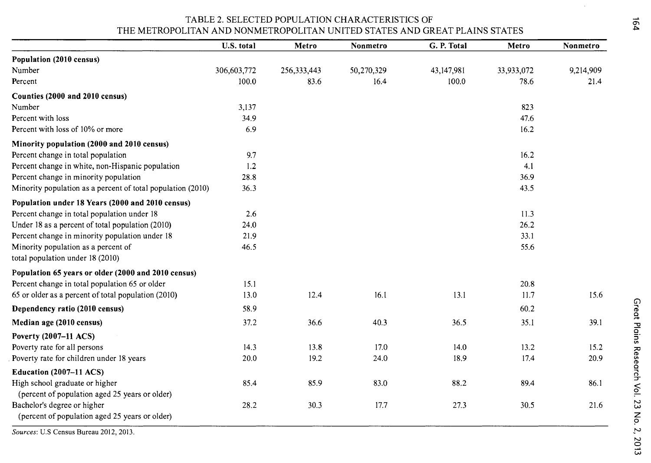## TABLE 2. SELECTED POPULATION CHARACTERISTICS OF THE METROPOLITAN AND NONMETROPOLITAN UNITED STATES AND GREAT PLAINS STATES

|                                                             | U.S. total  | Metro         | Nonmetro   | G. P. Total  | Metro      | Nonmetro  |
|-------------------------------------------------------------|-------------|---------------|------------|--------------|------------|-----------|
| Population (2010 census)                                    |             |               |            |              |            |           |
| Number                                                      | 306,603,772 | 256, 333, 443 | 50,270,329 | 43, 147, 981 | 33,933,072 | 9,214,909 |
| Percent                                                     | 100.0       | 83.6          | 16.4       | 100.0        | 78.6       | 21.4      |
| Counties (2000 and 2010 census)                             |             |               |            |              |            |           |
| Number                                                      | 3,137       |               |            |              | 823        |           |
| Percent with loss                                           | 34.9        |               |            |              | 47.6       |           |
| Percent with loss of 10% or more                            | 6.9         |               |            |              | 16.2       |           |
| Minority population (2000 and 2010 census)                  |             |               |            |              |            |           |
| Percent change in total population                          | 9.7         |               |            |              | 16.2       |           |
| Percent change in white, non-Hispanic population            | 1.2         |               |            |              | 4.1        |           |
| Percent change in minority population                       | 28.8        |               |            |              | 36.9       |           |
| Minority population as a percent of total population (2010) | 36.3        |               |            |              | 43.5       |           |
| Population under 18 Years (2000 and 2010 census)            |             |               |            |              |            |           |
| Percent change in total population under 18                 | 2.6         |               |            |              | 11.3       |           |
| Under 18 as a percent of total population (2010)            | 24.0        |               |            |              | 26.2       |           |
| Percent change in minority population under 18              | 21.9        |               |            |              | 33.1       |           |
| Minority population as a percent of                         | 46.5        |               |            |              | 55.6       |           |
| total population under 18 (2010)                            |             |               |            |              |            |           |
| Population 65 years or older (2000 and 2010 census)         |             |               |            |              |            |           |
| Percent change in total population 65 or older              | 15.1        |               |            |              | 20.8       |           |
| 65 or older as a percent of total population (2010)         | 13.0        | 12.4          | 16.1       | 13.1         | 11.7       | 15.6      |
| Dependency ratio (2010 census)                              | 58.9        |               |            |              | 60.2       |           |
| Median age (2010 census)                                    | 37.2        | 36.6          | 40.3       | 36.5         | 35.1       | 39.1      |
| Poverty (2007–11 ACS)                                       |             |               |            |              |            |           |
| Poverty rate for all persons                                | 14.3        | 13.8          | 17.0       | 14.0         | 13.2       | 15.2      |
| Poverty rate for children under 18 years                    | 20.0        | 19.2          | 24.0       | 18.9         | 17.4       | 20.9      |
| Education (2007-11 ACS)                                     |             |               |            |              |            |           |
| High school graduate or higher                              | 85.4        | 85.9          | 83.0       | 88.2         | 89.4       | 86.1      |
| (percent of population aged 25 years or older)              |             |               |            |              |            |           |
| Bachelor's degree or higher                                 | 28.2        | 30.3          | 17.7       | 27.3         | 30.5       | 21.6      |
| (percent of population aged 25 years or older)              |             |               |            |              |            |           |

Sources: U.S Census Bureau 2012, 2013.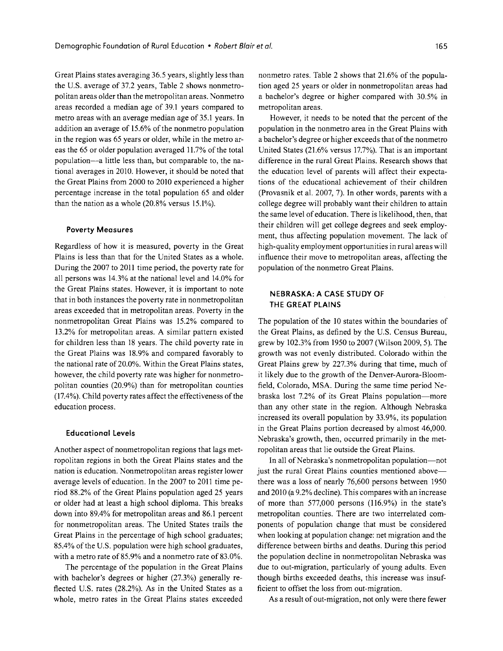Great Plains states averaging 36.5 years, slightly less than the U.S. average of 37.2 years, Table 2 shows nonmetropolitan areas older than the metropolitan areas. Nonmetro areas recorded a median age of 39.1 years compared to metro areas with an average median age of 35.1 years. In addition an average of 15.6% of the nonmetro population in the region was 65 years or older, while in the metro areas the 65 or older population averaged 11.7% of the total population-a little less than, but comparable to, the national averages in 2010. However, it should be noted that the Great Plains from 2000 to 2010 experienced a higher percentage increase in the total population 65 and older than the nation as a whole (20.8% versus 15.1%).

#### **Poverty Measures**

Regardless of how it is measured, poverty in the Great Plains is less than that for the United States as a whole. During the 2007 to 2011 time period, the poverty rate for all persons was 14.3% at the national level and 14.0% for the Great Plains states. However, it is important to note that in both instances the poverty rate in nonmetropolitan areas exceeded that in metropolitan areas. Poverty in the nonmetropolitan Great Plains was 15.2% compared to 13.2% for metropolitan areas. A similar pattern existed for children less than 18 years. The child poverty rate in the Great Plains was 18.9% and compared favorably to the national rate of 20.0%. Within the Great Plains states, however, the child poverty rate was higher for nonmetropolitan counties (20.9%) than for metropolitan counties (17.4%). Child poverty rates affect the effectiveness of the education process.

#### **Educational levels**

Another aspect of nonmetropolitan regions that lags metropolitan regions in both the Great Plains states and the nation is education. Nonmetropolitan areas register lower average levels of education. In the 2007 to 2011 time period 88.2% of the Great Plains population aged 25 years or older had at least a high school diploma. This breaks down into 89.4% for metropolitan areas and 86.1 percent for nonmetropolitan areas. The United States trails the Great Plains in the percentage of high school graduates; 85.4% of the U.S. population were high school graduates, with a metro rate of 85.9% and a nonmetro rate of 83.0%.

The percentage of the population in the Great Plains with bachelor's degrees or higher (27.3%) generally reflected U.S. rates (28.2%). As in the United States as a whole, metro rates in the Great Plains states exceeded nonmetro rates. Table 2 shows that 21.6% of the population aged 25 years or older in nonmetropolitan areas had a bachelor's degree or higher compared with 30.5% in metropolitan areas.

However, it needs to be noted that the percent of the population in the nonmetro area in the Great Plains with a bachelor's degree or higher exceeds that of the nonmetro United States (21.6% versus 17.7%). That is an important difference in the rural Great Plains. Research shows that the education level of parents will affect their expectations of the educational achievement of their children (Provasnik et al. 2007, 7). In other words, parents with a college degree will probably want their children to attain the same level of education. There is likelihood, then, that their children will get college degrees and seek employment, thus affecting population movement. The lack of high-quality employment opportunities in rural areas will influence their move to metropolitan areas, affecting the population of the nonmetro Great Plains.

# **NEBRASKA: A CASE STUDY OF THE GREAT PLAINS**

The population of the 10 states within the boundaries of the Great Plains, as defined by the U.S. Census Bureau, grew by 102.3% from 1950 to 2007 (Wilson 2009, 5). The growth was not evenly distributed. Colorado within the Great Plains grew by 227.3% during that time, much of it likely due to the growth of the Denver-Aurora-Bloomfield, Colorado, MSA. During the same time period Nebraska lost 7.2% of its Great Plains population-more than any other state in the region. Although Nebraska increased its overall population by 33.9%, its population in the Great Plains portion decreased by almost 46,000. Nebraska's growth, then, occurred primarily in the metropolitan areas that lie outside the Great Plains.

In all of Nebraska's nonmetropolitan population-not just the rural Great Plains counties mentioned above there was a loss of nearly 76,600 persons between 1950 and 2010 (a 9.2% decline). This compares with an increase of more than 577,000 persons (116.9%) in the state's metropolitan counties. There are two interrelated components of population change that must be considered when looking at population change: net migration and the difference between births and deaths. During this period the population decline in nonmetropolitan Nebraska was due to out-migration, particularly of young adults. Even though births exceeded deaths, this increase was insufficient to offset the loss from out-migration.

As a result of out-migration, not only were there fewer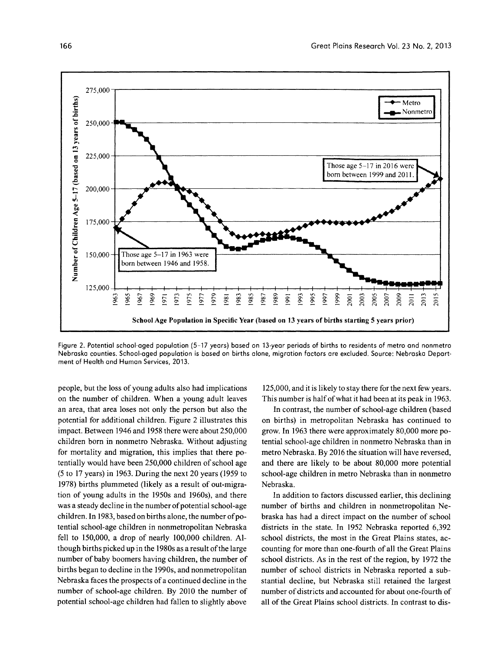

Figure 2. Potential school-aged population (5-17 years) based on 13-year periods of births to residents of metro and nonmetro Nebraska counties. School-aged population is based on births alone, migration factors are excluded. Source: Nebraska Department of Health and Human Services, 2013.

people, but the loss of young adults also had implications on the number of children. When a young adult leaves an area, that area loses not only the person but also the potential for additional children. Figure 2 illustrates this impact. Between 1946 and 1958 there were about 250,000 children born in nonmetro Nebraska. Without adjusting for mortality and migration, this implies that there potentially would have been 250,000 children of school age (5 to 17 years) in 1963. During the next 20 years (1959 to 1978) births plummeted (likely as a result of out-migration of young adults in the 1950s and 1960s), and there was a steady decline in the number of potential school-age children. In 1983, based on births alone, the number of potential school-age children in nonmetropolitan Nebraska fell to 150,000, a drop of nearly 100,000 children. Although births picked up in the 1980s as a result of the large number of baby boomers having children, the number of births began to decline in the 1990s, and nonmetropolitan Nebraska faces the prospects of a continued decline in the number of school-age children. By 2010 the number of potential school-age children had fallen to slightly above

125,000, and it is likely to stay there for the next few years. This number is half of what it had been at its peak in 1963.

In contrast, the number of school-age children (based on births) in metropolitan Nebraska has continued to grow. In 1963 there were approximately 80,000 more potential school-age children in nonmetro Nebraska than in metro Nebraska. By 2016 the situation will have reversed, and there are likely to be about 80,000 more potential school-age children in metro Nebraska than in nonmetro Nebraska.

In addition to factors discussed earlier, this declining number of births and children in nonmetropolitan Nebraska has had a direct impact on the number of school districts in the state. In 1952 Nebraska reported 6,392 school districts, the most in the Great Plains states, accounting for more than one-fourth of all the Great Plains school districts. As in the rest of the region, by 1972 the number of school districts in Nebraska reported a substantial decline, but Nebraska still retained the largest number of districts and accounted for about one-fourth of all of the Great Plains school districts. In contrast to dis-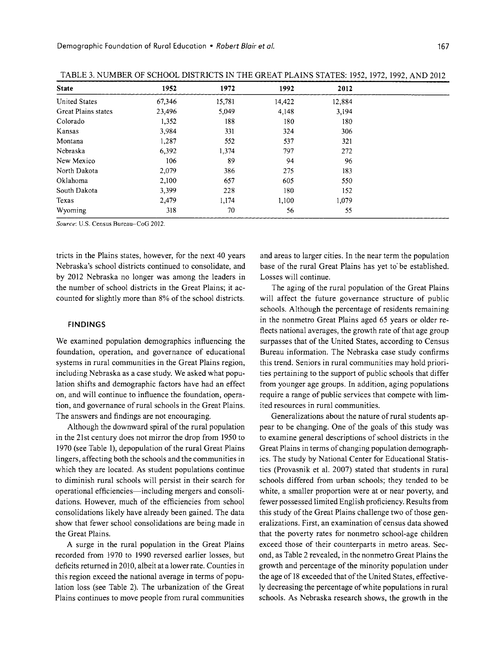| <b>State</b>         | 1952   | 1972   | 1992   | 2012   |  |
|----------------------|--------|--------|--------|--------|--|
| <b>United States</b> | 67,346 | 15,781 | 14,422 | 12,884 |  |
| Great Plains states  | 23,496 | 5,049  | 4,148  | 3,194  |  |
| Colorado             | 1,352  | 188    | 180    | 180    |  |
| Kansas               | 3,984  | 331    | 324    | 306    |  |
| Montana              | 1,287  | 552    | 537    | 321    |  |
| Nebraska             | 6,392  | 1,374  | 797    | 272    |  |
| New Mexico           | 106    | 89     | 94     | 96     |  |
| North Dakota         | 2,079  | 386    | 275    | 183    |  |
| Oklahoma             | 2,100  | 657    | 605    | 550    |  |
| South Dakota         | 3,399  | 228    | 180    | 152    |  |
| Texas                | 2,479  | 1,174  | 1,100  | 1,079  |  |
| Wyoming              | 318    | 70     | 56     | 55     |  |
|                      |        |        |        |        |  |

| TABLE 3. NUMBER OF SCHOOL DISTRICTS IN THE GREAT PLAINS STATES: 1952, 1972, 1992, AND 2012 |  |
|--------------------------------------------------------------------------------------------|--|
|--------------------------------------------------------------------------------------------|--|

*Source:* u.s. Census Bureau-CoG 2012.

tricts in the Plains states, however, for the next 40 years Nebraska's school districts continued to consolidate, and by 2012 Nebraska no longer was among the leaders in the number of school districts in the Great Plains; it accounted for slightly more than 8% of the school districts.

#### FINDINGS

We examined population demographics influencing the foundation, operation, and governance of educational systems in rural communities in the Great Plains region, including Nebraska as a case study. We asked what population shifts and demographic factors have had an effect on, and will continue to influence the foundation, operation, and governance of rural schools in the Great Plains. The answers and findings are not encouraging.

Although the downward spiral of the rural population in the 21st century does not mirror the drop from 1950 to 1970 (see Table 1), depopulation of the rural Great Plains lingers, affecting both the schools and the communities in which they are located. As student populations continue to diminish rural schools will persist in their search for operational efficiencies-including mergers and consolidations. However, much of the efficiencies from school consolidations likely have already been gained. The data show that fewer school consolidations are being made in the Great Plains.

A surge in the rural population in the Great Plains recorded from 1970 to 1990 reversed earlier losses, but deficits returned in 2010, albeit at a lower rate. Counties in this region exceed the national average in terms of population loss (see Table 2). The urbanization of the Great Plains continues to move people from rural communities

and areas to larger cities. In the near term the population base of the rural Great Plains has yet to be established. Losses will continue.

The aging of the rural population of the Great Plains will affect the future governance structure of public schools. Although the percentage of residents remaining in the nonmetro Great Plains aged 65 years or older reflects national averages, the growth rate of that age group surpasses that of the United States, according to Census Bureau information. The Nebraska case study confirms this trend. Seniors in rural communities may hold priorities pertaining to the support of public schools that differ from younger age groups. In addition, aging populations require a range of public services that compete with limited resources in rural communities.

Generalizations about the nature of rural students appear to be changing. One of the goals of this study was to examine general descriptions of school districts in the Great Plains in terms of changing population demographics. The study by National Center for Educational Statistics (Provasnik et al. 2007) stated that students in rural schools differed from urban schools; they tended to be white, a smaller proportion were at or near poverty, and fewer possessed limited English proficiency. Results from this study of the Great Plains challenge two of those generalizations. First, an examination of census data showed that the poverty rates for nonmetro school-age children exceed those of their counterparts in metro areas. Second, as Table 2 revealed, in the nonmetro Great Plains the growth and percentage of the minority population under the age of 18 exceeded that of the United States, effectively decreasing the percentage of white populations in rural schools. As Nebraska research shows, the growth in the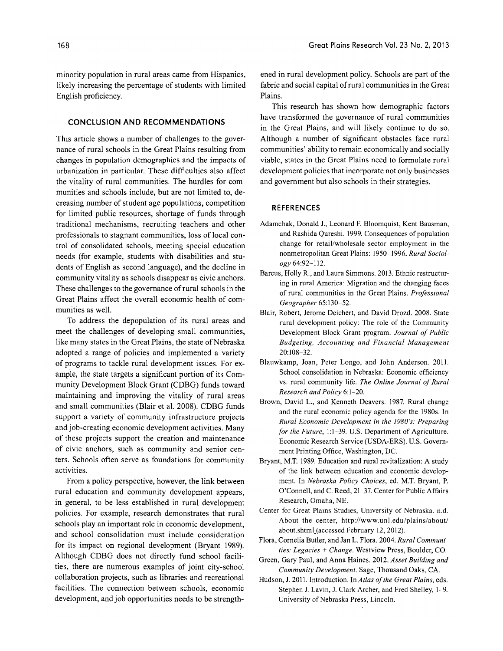minority population in rural areas came from Hispanics, likely increasing the percentage of students with limited English proficiency.

#### **CONCLUSION AND RECOMMENDATIONS**

This article shows a number of challenges to the governance of rural schools in the Great Plains resulting from changes in population demographics and the impacts of urbanization in particular. These difficulties also affect the vitality of rural communities. The hurdles for communities and schools include, but are not limited to, decreasing number of student age populations, competition for limited public resources, shortage of funds through traditional mechanisms, recruiting teachers and other professionals to stagnant communities, loss of local control of consolidated schools, meeting special education needs (for example, students with disabilities and students of English as second language), and the decline in community vitality as schools disappear as civic anchors. These challenges to the governance of rural schools in the Great Plains affect the overall economic health of communities as well.

To address the depopulation of its rural areas and meet the challenges of developing small communities, like many states in the Great Plains, the state of Nebraska adopted a range of policies and implemented a variety of programs to tackle rural development issues. For example, the state targets a significant portion of its Community Development Block Grant (CDBG) funds toward maintaining and improving the vitality of rural areas and small communities (Blair et al. 2008). CDBG funds support a variety of community infrastructure projects and job-creating economic development activities. Many of these projects support the creation and maintenance of civic anchors, such as community and senior centers. Schools often serve as foundations for community activities.

From a policy perspective, however, the link between rural education and community development appears, in general, to be less established in rural development policies. For example, research demonstrates that rural schools play an important role in economic development, and school consolidation must include consideration for its impact on regional development (Bryant 1989). Although CDBG does not directly fund school facilities, there are numerous examples of joint city-school collaboration projects, such as libraries and recreational facilities. The connection between schools, economic development, and job opportunities needs to be strengthened in rural development policy. Schools are part of the fabric and social capital of rural communities in the Great Plains.

This research has shown how demographic factors have transformed the governance of rural communities in the Great Plains, and will likely continue to do so. Although a number of significant obstacles face rural communities' ability to remain economically and socially viable, states in the Great Plains need to formulate rural development policies that incorporate not only businesses and government but also schools in their strategies.

#### **REFERENCES**

- Adamchak, Donald J., Leonard F. Bloomquist, Kent Bausman, and Rashida Qureshi. 1999. Consequences of population change for retail/wholesale sector employment in the nonmetropolitan Great Plains: 1950-1996. *Rural Sociology 64:92-112.*
- Barcus, Holly R., and Laura Simmons. 2013. Ethnic restructuring in rural America: Migration and the changing faces of rural communities in the Great Plains. *Professional Geographer 65:130-52.*
- Blair, Robert, Jerome Deichert, and David Drozd. 2008. State rural development policy: The role of the Community Development Block Grant program. *Journal of Public Budgeting, Accounting and Financial Management*  20:108-32.
- Blauwkamp, Joan, Peter Longo, and John Anderson. 2011. School consolidation in Nebraska: Economic efficiency vs. rural community life. *The Online Journal of Rural Research and Policy 6:1-20.*
- Brown, David L., and Kenneth Deavers. 1987. Rural change and the rural economic policy agenda for the 1980s. In *Rural Economic Development in the 1980's: Preparing for the Future,* 1:1-39. U.S. Department of Agriculture. Economic Research Service (USDA-ERS). U.S. Government Printing Office, Washington, DC.
- Bryant, M.T. 1989. Education and rural revitalization: A study of the link between education and economic development. In *Nebraska Policy Choices,* ed. M.T. Bryant, P. O'Connell, and C. Reed, 21-37. Center for Public Affairs Research, Omaha, NE.
- Center for Great Plains Studies, University of Nebraska. n.d. About the center, http://www.unl.edu/plains/about/ about.shtml\_(accessed February 12, 2012).
- Flora, Cornelia Butler, and Jan L. Flora. 2004. *Rural Communities: Legacies* + *Change.* Westview Press, Boulder, CO.
- Green, Gary Paul, and Anna Haines. 2012. *Asset Building and Community Development.* Sage, Thousand Oaks, CA.
- Hudson, J. 2011. Introduction. In *Atlas of the Great Plains,* eds. Stephen J. Lavin, J. Clark Archer, and Fred Shelley, 1-9. University of Nebraska Press, Lincoln.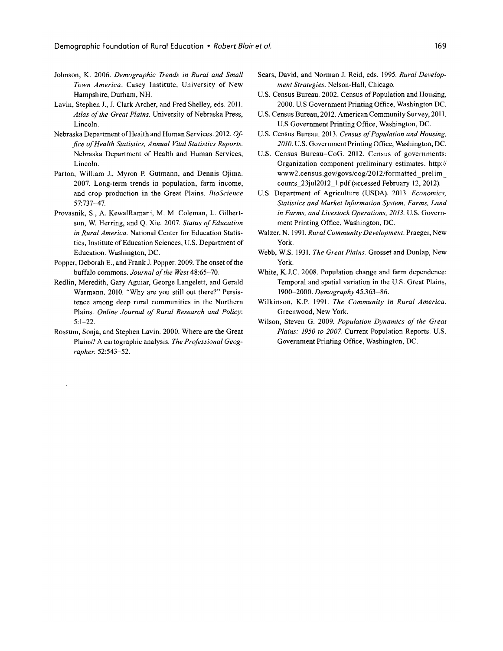- Johnson, K. 2006. *Demographic Trends in Rural and Small Town America.* Casey Institute, University of New Hampshire, Durham, NH.
- Lavin, Stephen J., J. Clark Archer, and Fred Shelley, eds. 2011. *Atlas of the Great Plains.* University of Nebraska Press, Lincoln.
- Nebraska Department of Health and Human Services. 2012. *Office of Health Statistics, Annual Vital Statistics Reports.*  Nebraska Department of Health and Human Services, Lincoln.
- Parton, William J., Myron P. Gutmann, and Dennis Ojima. 2007. Long-term trends in population, farm income, and crop production in the Great Plains. *BioScience*  57:737-47.
- Provasnik, S., A. KewalRamani, M. M. Coleman, L. Gilbertson, W. Herring, and Q. Xie. 2007. *Status of Education in Rural America.* National Center for Education Statistics, Institute of Education Sciences, U.S. Department of Education. Washington, DC.
- Popper, Deborah E., and Frank J. Popper. 2009. The onset of the buffalo commons. *Journal of the West 48:65-70.*
- Redlin, Meredith, Gary Aguiar, George Langelett, and Gerald Warmann. 2010. "Why are you still out there?" Persistence among deep rural communities in the Northern Plains. *Online Journal of Rural Research and Policy:*  5:1-22.
- Rossum, Sonja, and Stephen Lavin. 2000. Where are the Great Plains? A cartographic analysis. *The Professional Geographer. 52:543-52.*
- Sears, David, and Norman J. Reid, eds. 1995. *Rural Development Strategies.* Nelson-Hall, Chicago.
- U.S. Census Bureau. 2002. Census of Population and Housing, 2000. U.S Government Printing Office, Washington DC.
- U.S. Census Bureau, 2012. American Community Survey, 2011. U.S Government Printing Office, Washington, DC.
- U.S. Census Bureau. 2013. *Census of Population and Housing, 2010.* U.S. Government Printing Office, Washington, DC.
- U.S. Census Bureau-CoG. 2012. Census of governments: Organization component preliminary estimates. http:// www2.census.gov/govs/cog/2012/formatted\_prelim\_ counts 23juI2012 1.pdf (accessed February 12, 2012).
- U.S. Department of Agriculture (USDA). 2013. *Economics, Statistics and Market Information System, Farms, Land in Farms, and Livestock Operations, 2013.* U.S. Government Printing Office, Washington, DC.
- Walzer, N. 1991. *Rural Community Development.* Praeger, New York.
- Webb, W.S. 1931. *The Great Plains.* Grosset and Dunlap, New York.
- White, K.J.C. 2008. Population change and farm dependence: Temporal and spatial variation in the U.S. Great Plains, *1900-2000. Demography 45:363-86.*
- Wilkinson, K.P. 1991. *The Community in Rural America.*  Greenwood, New York.
- Wilson, Steven G. 2009. *Population Dynamics of the Great Plains: 1950* to *2007.* Current Population Reports. U.S. Government Printing Office, Washington, DC.